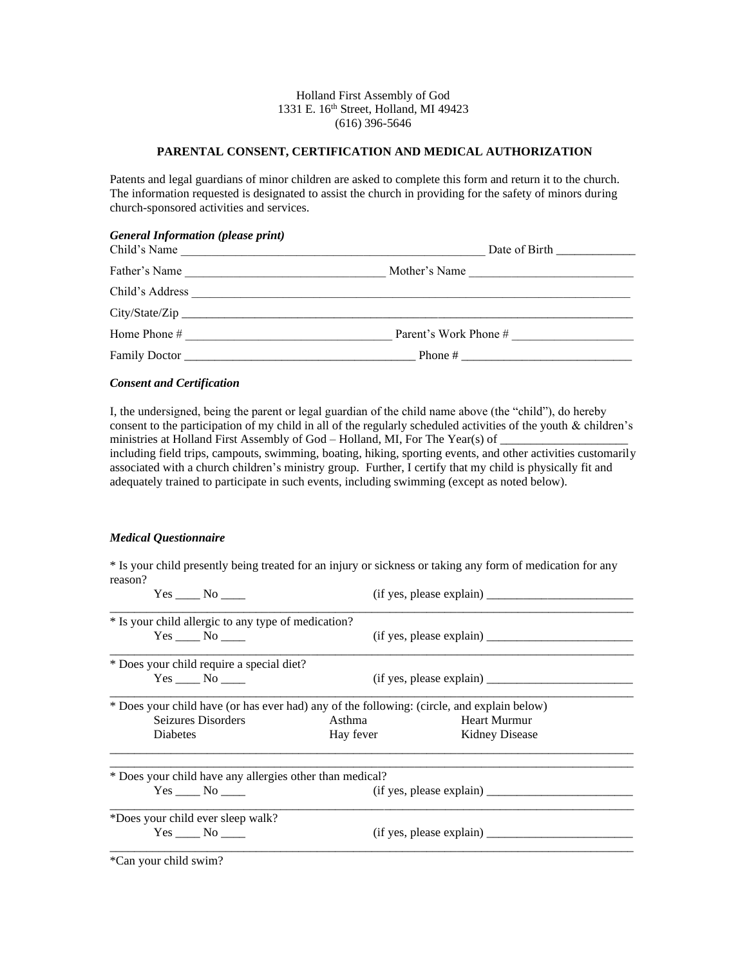## Holland First Assembly of God 1331 E. 16<sup>th</sup> Street, Holland, MI 49423 (616) 396-5646

## **PARENTAL CONSENT, CERTIFICATION AND MEDICAL AUTHORIZATION**

Patents and legal guardians of minor children are asked to complete this form and return it to the church. The information requested is designated to assist the church in providing for the safety of minors during church-sponsored activities and services.

## *General Information (please print)*

| Child's Name    | the contract of the contract of the contract of the contract of the contract of |
|-----------------|---------------------------------------------------------------------------------|
| Father's Name   | Mother's Name                                                                   |
| Child's Address |                                                                                 |
|                 |                                                                                 |
| Home Phone #    | Parent's Work Phone #                                                           |
| Family Doctor   | Phone #<br><u> 1989 - John Stone, amerikansk politiker (d. 1989)</u>            |

# *Consent and Certification*

I, the undersigned, being the parent or legal guardian of the child name above (the "child"), do hereby consent to the participation of my child in all of the regularly scheduled activities of the youth & children's ministries at Holland First Assembly of God - Holland, MI, For The Year(s) of \_ including field trips, campouts, swimming, boating, hiking, sporting events, and other activities customarily associated with a church children's ministry group. Further, I certify that my child is physically fit and adequately trained to participate in such events, including swimming (except as noted below).

#### *Medical Questionnaire*

\* Is your child presently being treated for an injury or sickness or taking any form of medication for any reason?

| Yes No                                                                                     | (if yes, please explain) |                       |  |
|--------------------------------------------------------------------------------------------|--------------------------|-----------------------|--|
| * Is your child allergic to any type of medication?                                        |                          |                       |  |
| Yes No                                                                                     |                          |                       |  |
| * Does your child require a special diet?                                                  |                          |                       |  |
| $Yes \_\_\_ No \_\_\_$                                                                     |                          |                       |  |
| * Does your child have (or has ever had) any of the following: (circle, and explain below) |                          |                       |  |
| Seizures Disorders                                                                         | Asthma                   | Heart Murmur          |  |
| Diabetes                                                                                   | Hay fever                | <b>Kidney Disease</b> |  |
| * Does your child have any allergies other than medical?                                   |                          |                       |  |
| $Yes \_\_\_No \_\_\_$                                                                      | (if yes, please explain) |                       |  |
| *Does your child ever sleep walk?                                                          |                          |                       |  |
| $Yes \_\_\_No \_\_\_$                                                                      |                          |                       |  |
|                                                                                            |                          |                       |  |

\*Can your child swim?